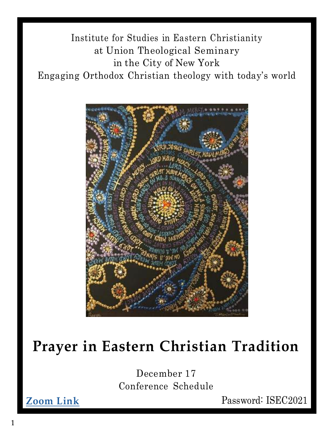Institute for Studies in Eastern Christianity at Union Theological Seminary in the City of New York Engaging Orthodox Christian theology with today's world



# **Prayer in Eastern Christian Tradition**

December 17 Conference Schedule

**[Zoom](https://zoom.us/j/9168508440?pwd=Qm9kNVZuTEJ3QkhEYnc2N29jUXk2dz09&success) Link** Password: ISEC2021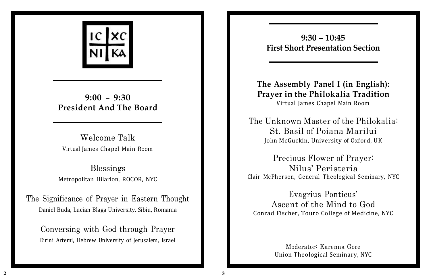#### **9:30 – 10:45 First Short Presentation Section**

**The Assembly Panel I (in English): Prayer in the Philokalia Tradition** Virtual James Chapel Main Room

The Unknown Master of the Philokalia: St. Basil of Poiana Marilui John McGuckin, University of Oxford, UK

Precious Flower of Prayer: Nilus' Peristeria Clair McPherson, General Theological Seminary, NYC

Evagrius Ponticus' Ascent of the Mind to God Conrad Fischer, Touro College of Medicine, NYC

> Moderator: Karenna Gore Union Theological Seminary, NYC

Conversing with God through Prayer Eirini Artemi, Hebrew University of Jerusalem, Israel

The Significance of Prayer in Eastern Thought Daniel Buda, Lucian Blaga University, Sibiu, Romania

Blessings Metropolitan Hilarion, ROCOR, NYC

Welcome Talk Virtual James Chapel Main Room



**9:00 – 9:30 President And The Board**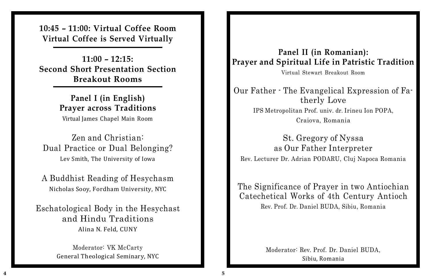**10:45 – 11:00: Virtual Coffee Room Virtual Coffee is Served Virtually**

**11:00 – 12:15: Second Short Presentation Section Breakout Rooms**

> **Panel I (in English) Prayer across Traditions** Virtual James Chapel Main Room

Zen and Christian: Dual Practice or Dual Belonging? Lev Smith, The University of Iowa

A Buddhist Reading of Hesychasm Nicholas Sooy, Fordham University, NYC

Eschatological Body in the Hesychast and Hindu Traditions Alina N. Feld, CUNY

> Moderator: VK McCarty General Theological Seminary, NYC

# **Panel II (in Romanian): Prayer and Spiritual Life in Patristic Tradition**

Virtual Stewart Breakout Room

Our Father - The Evangelical Expression of Fatherly Love IPS Metropolitan Prof. univ. dr. Irineu Ion POPA, Craiova, Romania

St. Gregory of Nyssa as Our Father Interpreter Rev. Lecturer Dr. Adrian PODARU, Cluj Napoca Romania

The Significance of Prayer in two Antiochian Catechetical Works of 4th Century Antioch Rev. Prof. Dr. Daniel BUDA, Sibiu, Romania

> Moderator: Rev. Prof. Dr. Daniel BUDA, Sibiu, Romania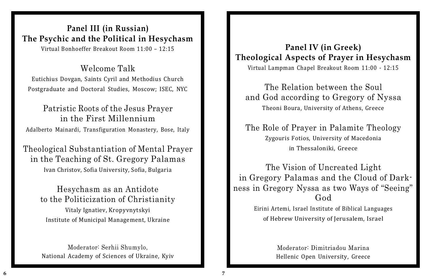## **Panel III (in Russian) The Psychic and the Political in Hesychasm**

Virtual Bonhoeffer Breakout Room 11:00 – 12:15

#### Welcome Talk

Eutichius Dovgan, Saints Cyril and Methodius Church Postgraduate and Doctoral Studies, Moscow; ISEC, NYC

# Patristic Roots of the Jesus Prayer in the First Millennium Adalberto Mainardi, Transfiguration Monastery, Bose, Italy

Theological Substantiation of Mental Prayer in the Teaching of St. Gregory Palamas Ivan Christov, Sofia University, Sofia, Bulgaria

Hesychasm as an Antidote to the Politicization of Christianity Vitaly Ignatiev, Kropyvnytskyi Institute of Municipal Management, Ukraine

Moderator: Serhii Shumylo, National Academy of Sciences of Ukraine, Kyiv

#### **Panel IV (in Greek) Theological Aspects of Prayer in Hesychasm** Virtual Lampman Chapel Breakout Room 11:00 - 12:15

The Relation between the Soul and God according to Gregory of Nyssa Theoni Boura, University of Athens, Greece

The Role of Prayer in Palamite Theology Zygouris Fotios, University of Macedonia in Thessaloniki, Greece

The Vision of Uncreated Light in Gregory Palamas and the Cloud of Darkness in Gregory Nyssa as two Ways of "Seeing" God Eirini Artemi, Israel Institute of Biblical Languages

of Hebrew University of Jerusalem, Israel

Moderator: Dimitriadou Marina Hellenic Open University, Greece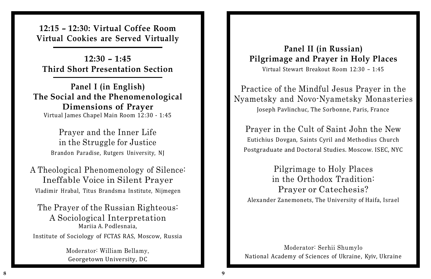**12:15 – 12:30: Virtual Coffee Room Virtual Cookies are Served Virtually**

**12:30 – 1:45 Third Short Presentation Section**

**Panel I (in English) The Social and the Phenomenological Dimensions of Prayer**

Virtual James Chapel Main Room 12:30 - 1:45

Prayer and the Inner Life in the Struggle for Justice Brandon Paradise, Rutgers University, NJ

A Theological Phenomenology of Silence: Ineffable Voice in Silent Prayer Vladimir Hrabal, Titus Brandsma Institute, Nijmegen

The Prayer of the Russian Righteous: A Sociological Interpretation Mariia A. Podlesnaia, Institute of Sociology of FCTAS RAS, Moscow, Russia

> Moderator: William Bellamy, Georgetown University, DC

#### **Panel II (in Russian) Pilgrimage and Prayer in Holy Places** Virtual Stewart Breakout Room 12:30 – 1:45

Practice of the Mindful Jesus Prayer in the Nyametsky and Novo-Nyametsky Monasteries Joseph Pavlinchuc, The Sorbonne, Paris, France

Prayer in the Cult of Saint John the New Eutichius Dovgan, Saints Cyril and Methodius Church Postgraduate and Doctoral Studies. Moscow. ISEC, NYC

Pilgrimage to Holy Places in the Orthodox Tradition: Prayer or Catechesis? Alexander Zanemonets, The University of Haifa, Israel

Moderator: Serhii Shumylo National Academy of Sciences of Ukraine, Kyiv, Ukraine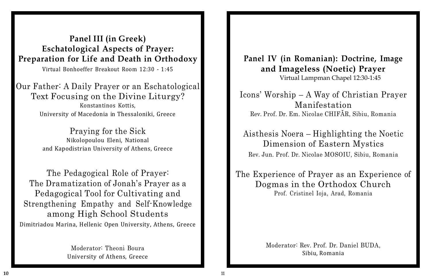**Panel III (in Greek) Eschatological Aspects of Prayer: Preparation for Life and Death in Orthodoxy**

Virtual Bonhoeffer Breakout Room 12:30 - 1:45

Our Father: A Daily Prayer or an Eschatological Text Focusing on the Divine Liturgy? Konstantinos Kottis, University of Macedonia in Thessaloniki, Greece

> Praying for the Sick Nikolopoulou Eleni, National and Kapodistrian University of Athens, Greece

The Pedagogical Role of Prayer: The Dramatization of Jonah's Prayer as a Pedagogical Tool for Cultivating and Strengthening Empathy and Self-Knowledge among High School Students Dimitriadou Marina, Hellenic Open University, Athens, Greece

> Moderator: Theoni Boura University of Athens, Greece

#### **Panel IV (in Romanian): Doctrine, Image and Imageless (Noetic) Prayer** Virtual Lampman Chapel 12:30-1:45

Icons' Worship – A Way of Christian Prayer Manifestation Rev. Prof. Dr. Em. Nicolae CHIFĂR, Sibiu, Romania

Aisthesis Noera – Highlighting the Noetic Dimension of Eastern Mystics Rev. Jun. Prof. Dr. Nicolae MOSOIU, Sibiu, Romania

#### The Experience of Prayer as an Experience of Dogmas in the Orthodox Church Prof. Cristinel Ioja, Arad, Romania

Moderator: Rev. Prof. Dr. Daniel BUDA, Sibiu, Romania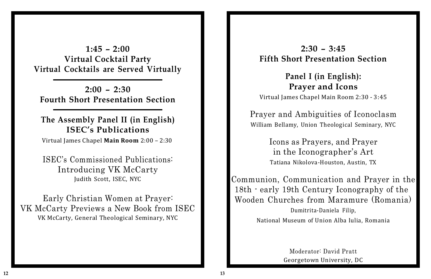**1:45 – 2:00 Virtual Cocktail Party Virtual Cocktails are Served Virtually**

**2:00 – 2:30 Fourth Short Presentation Section**

**The Assembly Panel II (in English) ISEC's Publications** Virtual James Chapel **Main Room** 2:00 – 2:30

ISEC's Commissioned Publications: Introducing VK McCarty Judith Scott, ISEC, NYC

Early Christian Women at Prayer: VK McCarty Previews a New Book from ISEC VK McCarty, General Theological Seminary, NYC

### **2:30 – 3:45 Fifth Short Presentation Section**

# **Panel I (in English): Prayer and Icons**

Virtual James Chapel Main Room 2:30 - 3:45

# Prayer and Ambiguities of Iconoclasm William Bellamy, Union Theological Seminary, NYC

Icons as Prayers, and Prayer in the Iconographer's Art Tatiana Nikolova-Houston, Austin, TX

Communion, Communication and Prayer in the 18th - early 19th Century Iconography of the Wooden Churches from Maramure (Romania) Dumitrita-Daniela Filip, National Museum of Union Alba Iulia, Romania

> Moderator: David Pratt Georgetown University, DC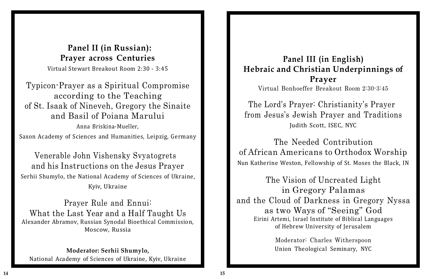#### **Panel II (in Russian): Prayer across Centuries**

Virtual Stewart Breakout Room 2:30 - 3:45

Typicon-Prayer as a Spiritual Compromise according to the Teaching of St. Isaak of Nineveh, Gregory the Sinaite and Basil of Poiana Marului Anna Briskina-Mueller,

Saxon Academy of Sciences and Humanities, Leipzig, Germany

Venerable John Vishensky Svyatogrets and his Instructions on the Jesus Prayer Serhii Shumylo, the National Academy of Sciences of Ukraine, Kyiv, Ukraine

Prayer Rule and Ennui: What the Last Year and a Half Taught Us Alexander Abramov, Russian Synodal Bioethical Commission, Moscow, Russia

**Moderator: Serhii Shumylo,** National Academy of Sciences of Ukraine, Kyiv, Ukraine

# **Panel III (in English) Hebraic and Christian Underpinnings of Prayer**

Virtual Bonhoeffer Breakout Room 2:30-3:45

The Lord's Prayer: Christianity's Prayer from Jesus's Jewish Prayer and Traditions Judith Scott, ISEC, NYC

The Needed Contribution of African Americans to Orthodox Worship Nun Katherine Weston, Fellowship of St. Moses the Black, IN

The Vision of Uncreated Light in Gregory Palamas and the Cloud of Darkness in Gregory Nyssa as two Ways of "Seeing" God Eirini Artemi, Israel Institute of Biblical Languages of Hebrew University of Jerusalem

> Moderator: Charles Witherspoon Union Theological Seminary, NYC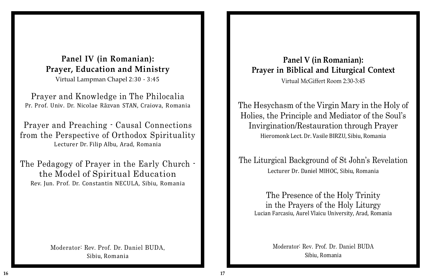#### **Panel IV (in Romanian): Prayer, Education and Ministry**

Virtual Lampman Chapel 2:30 - 3:45

Prayer and Knowledge in The Philocalia Pr. Prof. Univ. Dr. Nicolae Răzvan STAN, Craiova, Romania

Prayer and Preaching - Causal Connections from the Perspective of Orthodox Spirituality Lecturer Dr. Filip Albu, Arad, Romania

The Pedagogy of Prayer in the Early Church the Model of Spiritual Education Rev. Jun. Prof. Dr. Constantin NECULA, Sibiu, Romania

> Moderator: Rev. Prof. Dr. Daniel BUDA, Sibiu, Romania

# **Panel V (in Romanian): Prayer in Biblical and Liturgical Context**

Virtual McGiffert Room 2:30-3:45

The Hesychasm of the Virgin Mary in the Holy of Holies, the Principle and Mediator of the Soul's Invirgination/Restauration through Prayer Hieromonk Lect. Dr. Vasile BIRZU, Sibiu, Romania

The Liturgical Background of St John's Revelation Lecturer Dr. Daniel MIHOC, Sibiu, Romania

The Presence of the Holy Trinity in the Prayers of the Holy Liturgy Lucian Farcasiu, Aurel Vlaicu University, Arad, Romania

> Moderator: Rev. Prof. Dr. Daniel BUDA Sibiu, Romania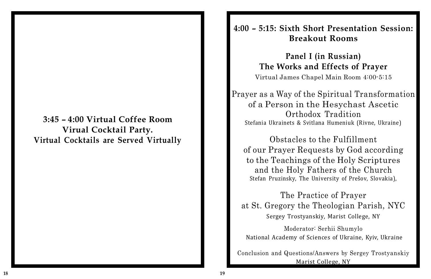### **4:00 – 5:15: Sixth Short Presentation Session: Breakout Rooms**

## **Panel I (in Russian) The Works and Effects of Prayer** Virtual James Chapel Main Room 4:00-5:15

Prayer as a Way of the Spiritual Transformation of a Person in the Hesychast Ascetic Orthodox Tradition Stefania Ukrainets & Svitlana Humeniuk (Rivne, Ukraine)

Obstacles to the Fulfillment of our Prayer Requests by God according to the Teachings of the Holy Scriptures and the Holy Fathers of the Church Stefan Pruzinsky, The University of Prešov, Slovakia),

The Practice of Prayer at St. Gregory the Theologian Parish, NYC Sergey Trostyanskiy, Marist College, NY

Moderator: Serhii Shumylo National Academy of Sciences of Ukraine, Kyiv, Ukraine

Conclusion and Questions/Answers by Sergey Trostyanskiy Marist College, NY

# **3:45 – 4:00 Virtual Coffee Room Virual Cocktail Party. Virtual Cocktails are Served Virtually**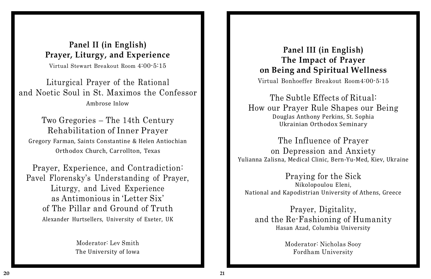### **Panel II (in English) Prayer, Liturgy, and Experience**

Virtual Stewart Breakout Room 4:00-5:15

Liturgical Prayer of the Rational and Noetic Soul in St. Maximos the Confessor Ambrose Inlow

Two Gregories – The 14th Century Rehabilitation of Inner Prayer Gregory Farman, Saints Constantine & Helen Antiochian Orthodox Church, Carrollton, Texas

Prayer, Experience, and Contradiction: Pavel Florensky's Understanding of Prayer, Liturgy, and Lived Experience as Antimonious in 'Letter Six' of The Pillar and Ground of Truth Alexander Hurtsellers, University of Exeter, UK

> Moderator: Lev Smith The University of Iowa

# **Panel III (in English) The Impact of Prayer on Being and Spiritual Wellness**

Virtual Bonhoeffer Breakout Room4:00-5:15

The Subtle Effects of Ritual: How our Prayer Rule Shapes our Being Douglas Anthony Perkins, St. Sophia Ukrainian Orthodox Seminary

The Influence of Prayer on Depression and Anxiety Yulianna Zalisna, Medical Clinic, Bern-Yu-Med, Kiev, Ukraine

Praying for the Sick Nikolopoulou Eleni, National and Kapodistrian University of Athens, Greece

Prayer, Digitality, and the Re-Fashioning of Humanity Hasan Azad, Columbia University

> Moderator: Nicholas Sooy Fordham University